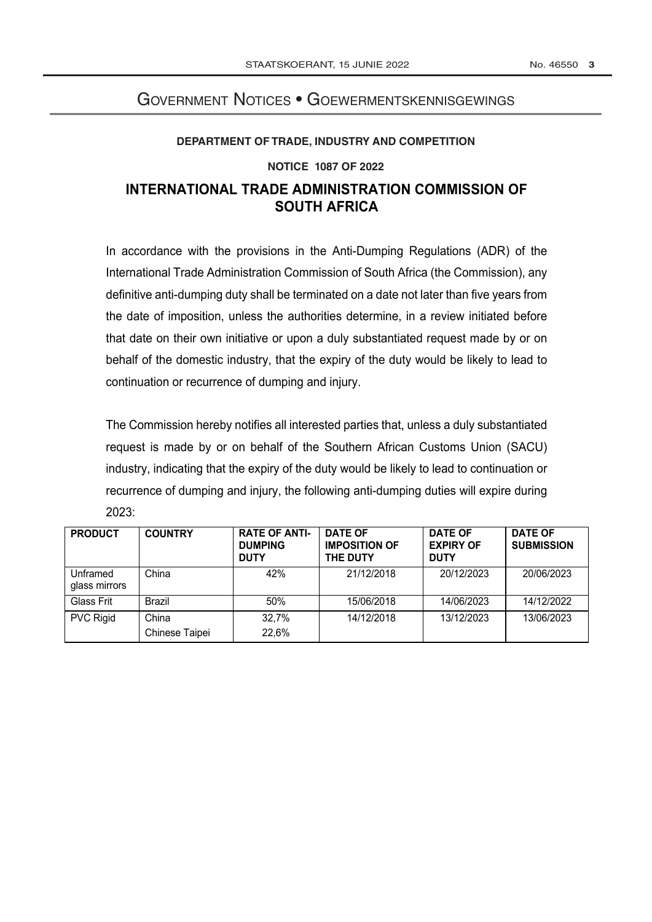## No. 46550 3

# **GOVERNMENT NOTICES • GOEWERMENTSKENNISGEWINGS**

### DEPARTMENT OF TRADE, INDUSTRY AND COMPETITION

## **NOTICE 1087 OF 2022**

# INTERNATIONAL TRADE ADMINISTRATION COMMISSION OF **SOUTH AFRICA**

In accordance with the provisions in the Anti-Dumping Regulations (ADR) of the International Trade Administration Commission of South Africa (the Commission), any definitive anti-dumping duty shall be terminated on a date not later than five years from the date of imposition, unless the authorities determine, in a review initiated before that date on their own initiative or upon a duly substantiated request made by or on behalf of the domestic industry, that the expiry of the duty would be likely to lead to continuation or recurrence of dumping and injury.

The Commission hereby notifies all interested parties that, unless a duly substantiated request is made by or on behalf of the Southern African Customs Union (SACU) industry, indicating that the expiry of the duty would be likely to lead to continuation or recurrence of dumping and injury, the following anti-dumping duties will expire during  $2023:$ 

| <b>PRODUCT</b>            | <b>COUNTRY</b>          | <b>RATE OF ANTI-</b><br><b>DUMPING</b><br><b>DUTY</b> | <b>DATE OF</b><br><b>IMPOSITION OF</b><br><b>THE DUTY</b> | <b>DATE OF</b><br><b>EXPIRY OF</b><br><b>DUTY</b> | <b>DATE OF</b><br><b>SUBMISSION</b> |
|---------------------------|-------------------------|-------------------------------------------------------|-----------------------------------------------------------|---------------------------------------------------|-------------------------------------|
| Unframed<br>glass mirrors | China                   | 42%                                                   | 21/12/2018                                                | 20/12/2023                                        | 20/06/2023                          |
| Glass Frit                | Brazil                  | 50%                                                   | 15/06/2018                                                | 14/06/2023                                        | 14/12/2022                          |
| <b>PVC Rigid</b>          | China<br>Chinese Taipei | 32,7%<br>22,6%                                        | 14/12/2018                                                | 13/12/2023                                        | 13/06/2023                          |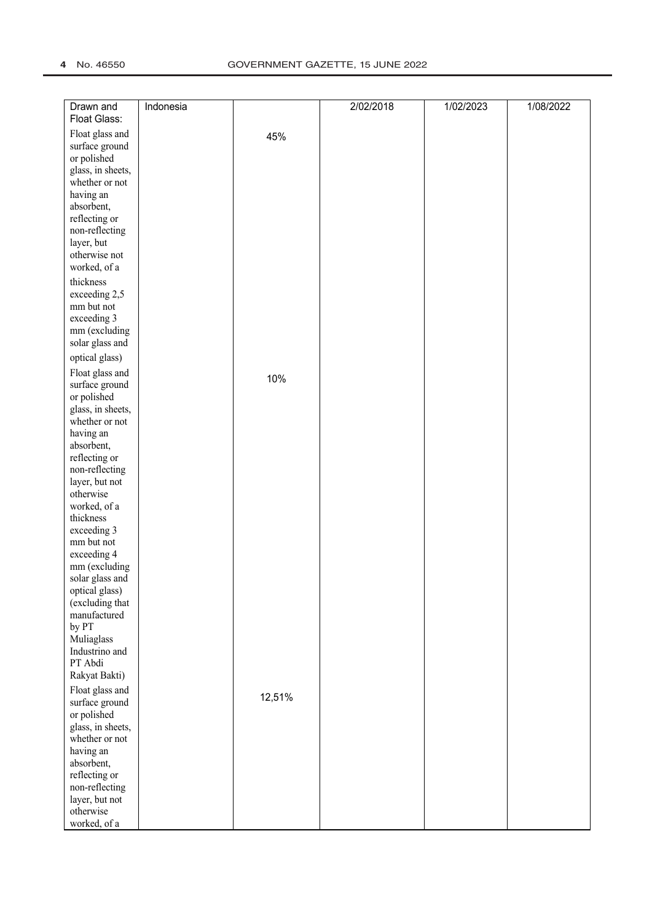| Drawn and<br>Float Glass:        | Indonesia |        | 2/02/2018 | 1/02/2023 | 1/08/2022 |
|----------------------------------|-----------|--------|-----------|-----------|-----------|
| Float glass and                  |           | 45%    |           |           |           |
| surface ground                   |           |        |           |           |           |
| or polished                      |           |        |           |           |           |
| glass, in sheets,                |           |        |           |           |           |
| whether or not                   |           |        |           |           |           |
| having an                        |           |        |           |           |           |
| absorbent,                       |           |        |           |           |           |
| reflecting or                    |           |        |           |           |           |
| non-reflecting                   |           |        |           |           |           |
| layer, but                       |           |        |           |           |           |
| otherwise not                    |           |        |           |           |           |
| worked, of a                     |           |        |           |           |           |
| thickness                        |           |        |           |           |           |
| exceeding 2,5                    |           |        |           |           |           |
| mm but not                       |           |        |           |           |           |
| exceeding 3                      |           |        |           |           |           |
| mm (excluding                    |           |        |           |           |           |
| solar glass and                  |           |        |           |           |           |
| optical glass)                   |           |        |           |           |           |
| Float glass and                  |           | 10%    |           |           |           |
| surface ground                   |           |        |           |           |           |
| or polished                      |           |        |           |           |           |
| glass, in sheets,                |           |        |           |           |           |
| whether or not                   |           |        |           |           |           |
| having an                        |           |        |           |           |           |
| absorbent,                       |           |        |           |           |           |
| reflecting or                    |           |        |           |           |           |
| non-reflecting<br>layer, but not |           |        |           |           |           |
| otherwise                        |           |        |           |           |           |
| worked, of a                     |           |        |           |           |           |
| thickness                        |           |        |           |           |           |
| exceeding 3                      |           |        |           |           |           |
| mm but not                       |           |        |           |           |           |
| exceeding 4                      |           |        |           |           |           |
| mm (excluding                    |           |        |           |           |           |
| solar glass and                  |           |        |           |           |           |
| optical glass)                   |           |        |           |           |           |
| (excluding that                  |           |        |           |           |           |
| manufactured                     |           |        |           |           |           |
| by PT                            |           |        |           |           |           |
| Muliaglass                       |           |        |           |           |           |
| Industrino and                   |           |        |           |           |           |
| PT Abdi                          |           |        |           |           |           |
| Rakyat Bakti)                    |           |        |           |           |           |
| Float glass and                  |           | 12,51% |           |           |           |
| surface ground                   |           |        |           |           |           |
| or polished                      |           |        |           |           |           |
| glass, in sheets,                |           |        |           |           |           |
| whether or not                   |           |        |           |           |           |
| having an<br>absorbent,          |           |        |           |           |           |
| reflecting or                    |           |        |           |           |           |
| non-reflecting                   |           |        |           |           |           |
| layer, but not                   |           |        |           |           |           |
| otherwise                        |           |        |           |           |           |
| worked, of a                     |           |        |           |           |           |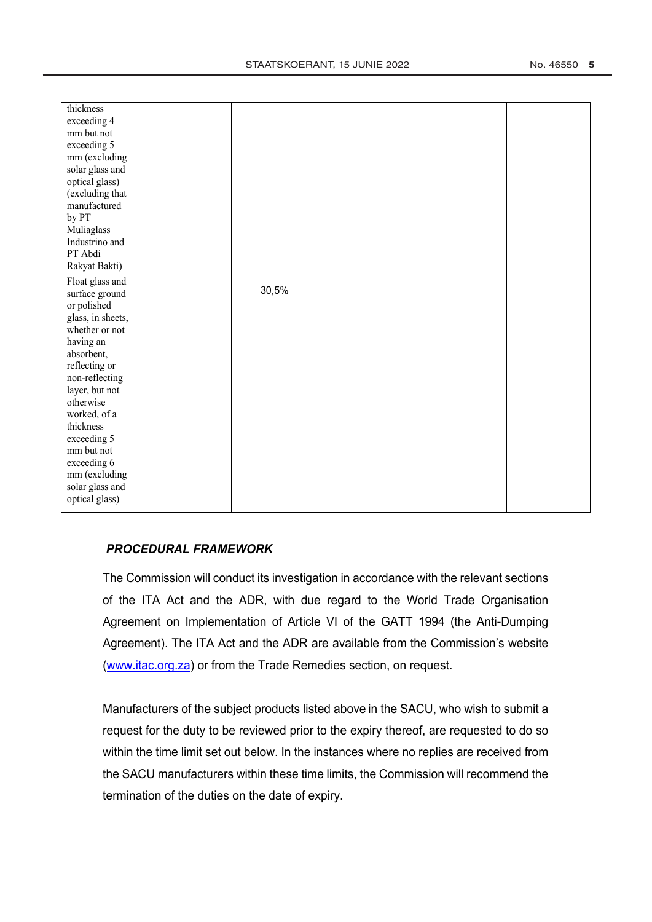| thickness         |       |  |  |
|-------------------|-------|--|--|
|                   |       |  |  |
| exceeding 4       |       |  |  |
| mm but not        |       |  |  |
| exceeding 5       |       |  |  |
| mm (excluding     |       |  |  |
| solar glass and   |       |  |  |
| optical glass)    |       |  |  |
| (excluding that   |       |  |  |
| manufactured      |       |  |  |
| by PT             |       |  |  |
| Muliaglass        |       |  |  |
| Industrino and    |       |  |  |
| PT Abdi           |       |  |  |
| Rakyat Bakti)     |       |  |  |
| Float glass and   |       |  |  |
| surface ground    | 30,5% |  |  |
| or polished       |       |  |  |
| glass, in sheets, |       |  |  |
| whether or not    |       |  |  |
| having an         |       |  |  |
| absorbent,        |       |  |  |
| reflecting or     |       |  |  |
| non-reflecting    |       |  |  |
| layer, but not    |       |  |  |
| otherwise         |       |  |  |
| worked, of a      |       |  |  |
| thickness         |       |  |  |
| exceeding 5       |       |  |  |
| mm but not        |       |  |  |
| exceeding 6       |       |  |  |
| mm (excluding     |       |  |  |
| solar glass and   |       |  |  |
| optical glass)    |       |  |  |
|                   |       |  |  |

# **PROCEDURAL FRAMEWORK**

The Commission will conduct its investigation in accordance with the relevant sections of the ITA Act and the ADR, with due regard to the World Trade Organisation Agreement on Implementation of Article VI of the GATT 1994 (the Anti-Dumping Agreement). The ITA Act and the ADR are available from the Commission's website (www.itac.org.za) or from the Trade Remedies section, on request.

Manufacturers of the subject products listed above in the SACU, who wish to submit a request for the duty to be reviewed prior to the expiry thereof, are requested to do so within the time limit set out below. In the instances where no replies are received from the SACU manufacturers within these time limits, the Commission will recommend the termination of the duties on the date of expiry.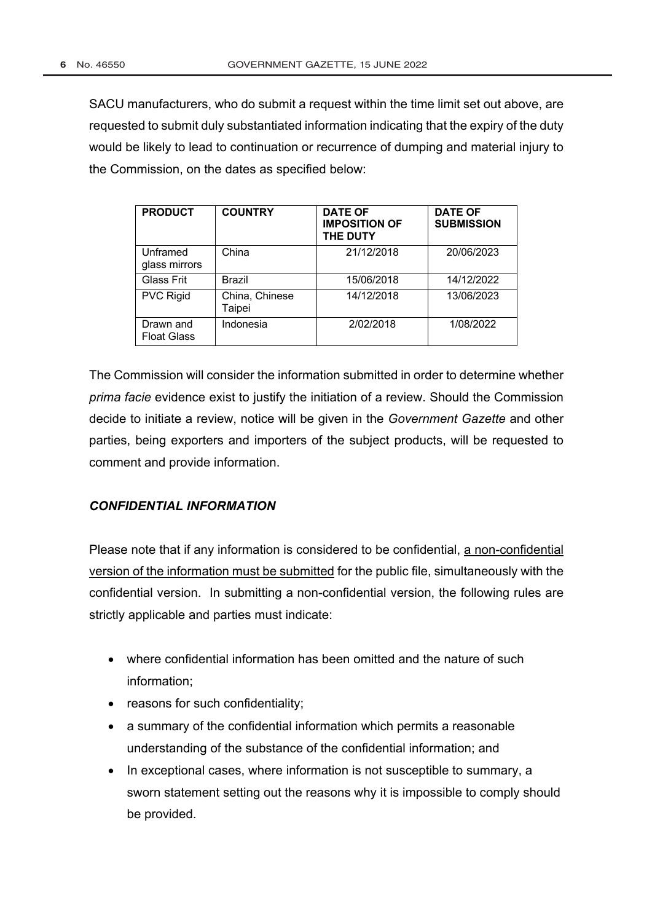SACU manufacturers, who do submit a request within the time limit set out above, are requested to submit duly substantiated information indicating that the expiry of the duty would be likely to lead to continuation or recurrence of dumping and material injury to the Commission, on the dates as specified below:

| <b>PRODUCT</b>                  | <b>COUNTRY</b>           | <b>DATE OF</b><br><b>IMPOSITION OF</b><br><b>THE DUTY</b> | <b>DATE OF</b><br><b>SUBMISSION</b> |
|---------------------------------|--------------------------|-----------------------------------------------------------|-------------------------------------|
| Unframed<br>glass mirrors       | China                    | 21/12/2018                                                | 20/06/2023                          |
| Glass Frit                      | <b>Brazil</b>            | 15/06/2018                                                | 14/12/2022                          |
| <b>PVC Rigid</b>                | China, Chinese<br>Taipei | 14/12/2018                                                | 13/06/2023                          |
| Drawn and<br><b>Float Glass</b> | Indonesia                | 2/02/2018                                                 | 1/08/2022                           |

The Commission will consider the information submitted in order to determine whether prima facie evidence exist to justify the initiation of a review. Should the Commission decide to initiate a review, notice will be given in the Government Gazette and other parties, being exporters and importers of the subject products, will be requested to comment and provide information.

# **CONFIDENTIAL INFORMATION**

Please note that if any information is considered to be confidential, a non-confidential version of the information must be submitted for the public file, simultaneously with the confidential version. In submitting a non-confidential version, the following rules are strictly applicable and parties must indicate:

- where confidential information has been omitted and the nature of such information;
- reasons for such confidentiality:
- a summary of the confidential information which permits a reasonable understanding of the substance of the confidential information; and
- In exceptional cases, where information is not susceptible to summary, a sworn statement setting out the reasons why it is impossible to comply should be provided.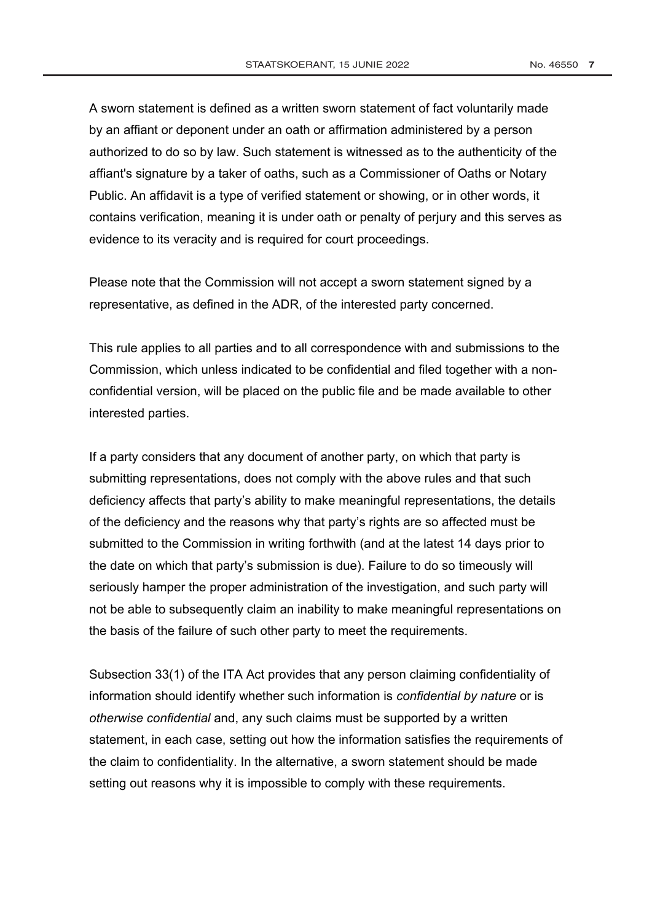A sworn statement is defined as a written sworn statement of fact voluntarily made by an affiant or deponent under an oath or affirmation administered by a person authorized to do so by law. Such statement is witnessed as to the authenticity of the affiant's signature by a taker of oaths, such as a Commissioner of Oaths or Notary Public. An affidavit is a type of verified statement or showing, or in other words, it contains verification, meaning it is under oath or penalty of perjury and this serves as evidence to its veracity and is required for court proceedings.

Please note that the Commission will not accept a sworn statement signed by a representative, as defined in the ADR, of the interested party concerned.

This rule applies to all parties and to all correspondence with and submissions to the Commission, which unless indicated to be confidential and filed together with a nonconfidential version, will be placed on the public file and be made available to other interested parties.

If a party considers that any document of another party, on which that party is submitting representations, does not comply with the above rules and that such deficiency affects that party's ability to make meaningful representations, the details of the deficiency and the reasons why that party's rights are so affected must be submitted to the Commission in writing forthwith (and at the latest 14 days prior to the date on which that party's submission is due). Failure to do so timeously will seriously hamper the proper administration of the investigation, and such party will not be able to subsequently claim an inability to make meaningful representations on the basis of the failure of such other party to meet the requirements.

Subsection 33(1) of the ITA Act provides that any person claiming confidentiality of information should identify whether such information is confidential by nature or is otherwise confidential and, any such claims must be supported by a written statement, in each case, setting out how the information satisfies the requirements of the claim to confidentiality. In the alternative, a sworn statement should be made setting out reasons why it is impossible to comply with these requirements.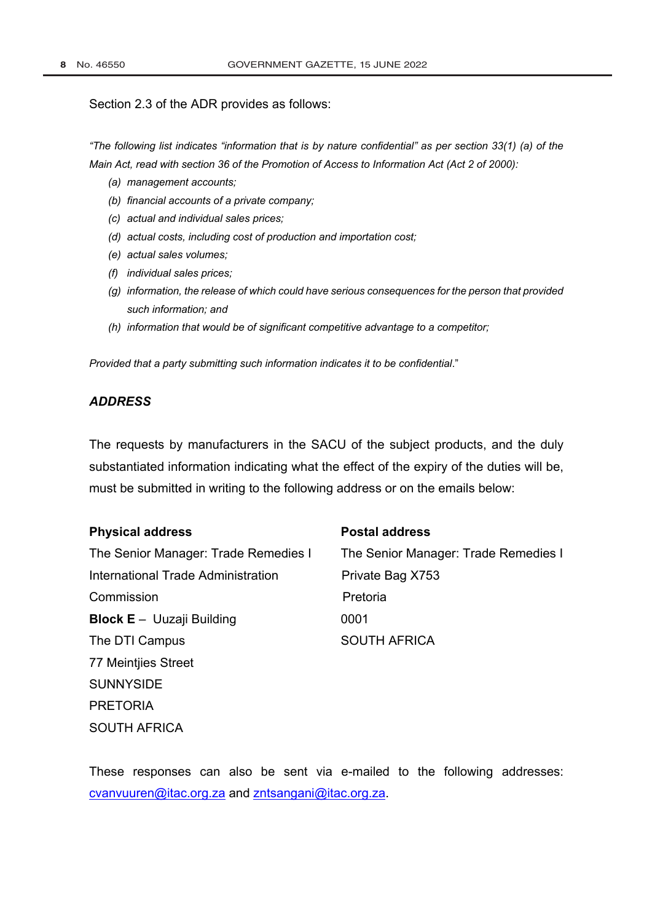#### Section 2.3 of the ADR provides as follows:

"The following list indicates "information that is by nature confidential" as per section 33(1) (a) of the Main Act, read with section 36 of the Promotion of Access to Information Act (Act 2 of 2000):

- (a) management accounts;
- (b) financial accounts of a private company;
- (c) actual and individual sales prices;
- (d) actual costs, including cost of production and importation cost;
- (e) actual sales volumes;
- (f) individual sales prices;
- (g) information, the release of which could have serious consequences for the person that provided such information; and
- (h) information that would be of significant competitive advantage to a competitor;

Provided that a party submitting such information indicates it to be confidential."

# **ADDRESS**

The requests by manufacturers in the SACU of the subject products, and the duly substantiated information indicating what the effect of the expiry of the duties will be, must be submitted in writing to the following address or on the emails below:

#### **Physical address**

The Senior Manager: Trade Remedies I International Trade Administration Commission **Block E** - Uuzaji Building The DTI Campus 77 Meintjies Street **SUNNYSIDE PRETORIA** SOUTH AFRICA

#### **Postal address**

The Senior Manager: Trade Remedies I Private Bag X753 Pretoria 0001 **SOUTH AFRICA** 

These responses can also be sent via e-mailed to the following addresses: cvanvuuren@itac.org.za and zntsangani@itac.org.za.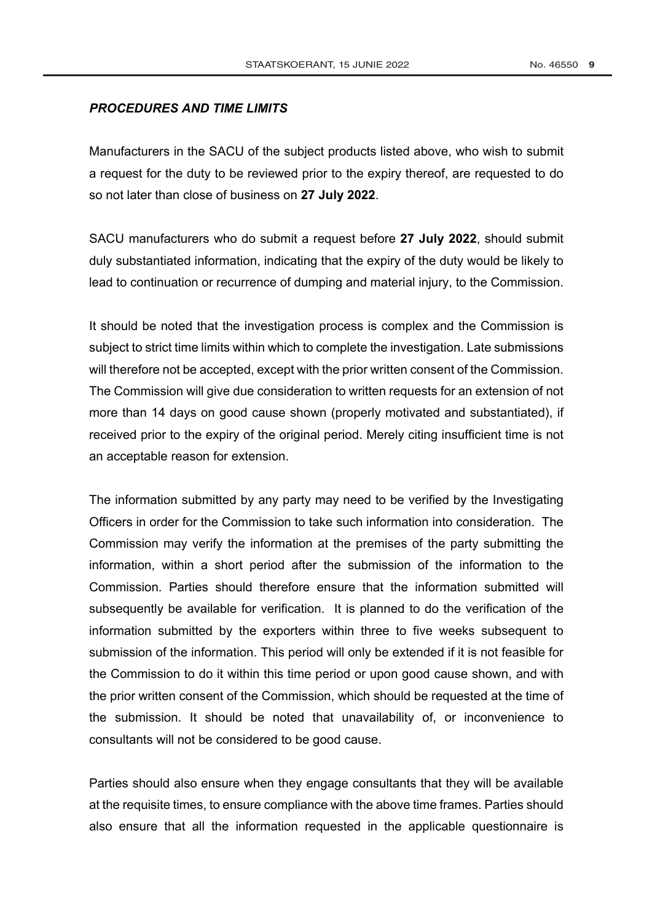## **PROCEDURES AND TIME LIMITS**

Manufacturers in the SACU of the subject products listed above, who wish to submit a request for the duty to be reviewed prior to the expiry thereof, are requested to do so not later than close of business on 27 July 2022.

SACU manufacturers who do submit a request before 27 July 2022, should submit duly substantiated information, indicating that the expiry of the duty would be likely to lead to continuation or recurrence of dumping and material injury, to the Commission.

It should be noted that the investigation process is complex and the Commission is subject to strict time limits within which to complete the investigation. Late submissions will therefore not be accepted, except with the prior written consent of the Commission. The Commission will give due consideration to written requests for an extension of not more than 14 days on good cause shown (properly motivated and substantiated), if received prior to the expiry of the original period. Merely citing insufficient time is not an acceptable reason for extension.

The information submitted by any party may need to be verified by the Investigating Officers in order for the Commission to take such information into consideration. The Commission may verify the information at the premises of the party submitting the information, within a short period after the submission of the information to the Commission. Parties should therefore ensure that the information submitted will subsequently be available for verification. It is planned to do the verification of the information submitted by the exporters within three to five weeks subsequent to submission of the information. This period will only be extended if it is not feasible for the Commission to do it within this time period or upon good cause shown, and with the prior written consent of the Commission, which should be requested at the time of the submission. It should be noted that unavailability of, or inconvenience to consultants will not be considered to be good cause.

Parties should also ensure when they engage consultants that they will be available at the requisite times, to ensure compliance with the above time frames. Parties should also ensure that all the information requested in the applicable questionnaire is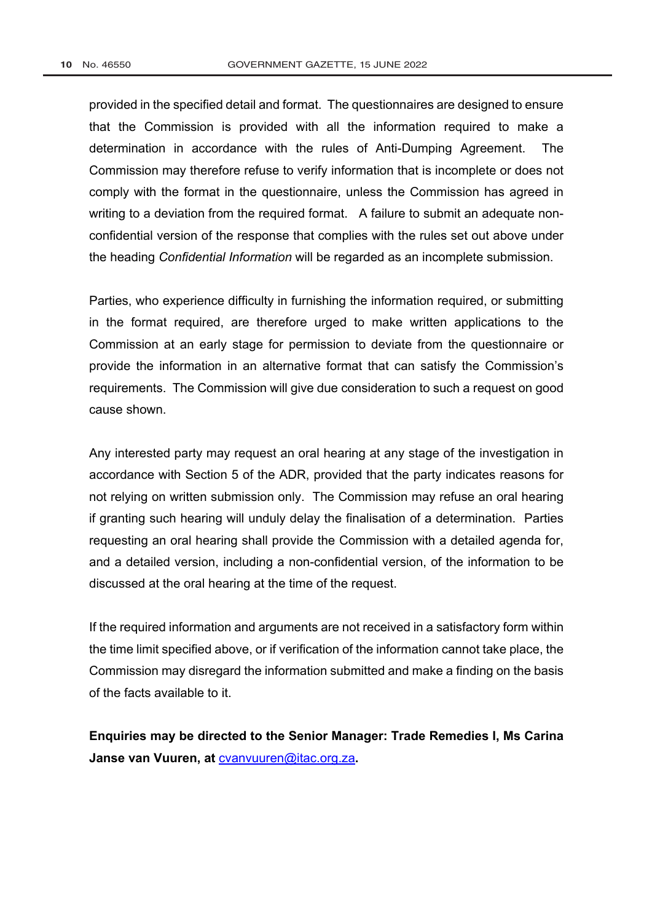provided in the specified detail and format. The questionnaires are designed to ensure that the Commission is provided with all the information required to make a determination in accordance with the rules of Anti-Dumping Agreement. **The** Commission may therefore refuse to verify information that is incomplete or does not comply with the format in the questionnaire, unless the Commission has agreed in writing to a deviation from the required format. A failure to submit an adequate nonconfidential version of the response that complies with the rules set out above under the heading Confidential Information will be regarded as an incomplete submission.

Parties, who experience difficulty in furnishing the information required, or submitting in the format required, are therefore urged to make written applications to the Commission at an early stage for permission to deviate from the questionnaire or provide the information in an alternative format that can satisfy the Commission's requirements. The Commission will give due consideration to such a request on good cause shown

Any interested party may request an oral hearing at any stage of the investigation in accordance with Section 5 of the ADR, provided that the party indicates reasons for not relying on written submission only. The Commission may refuse an oral hearing if granting such hearing will unduly delay the finalisation of a determination. Parties requesting an oral hearing shall provide the Commission with a detailed agenda for, and a detailed version, including a non-confidential version, of the information to be discussed at the oral hearing at the time of the request.

If the required information and arguments are not received in a satisfactory form within the time limit specified above, or if verification of the information cannot take place, the Commission may disregard the information submitted and make a finding on the basis of the facts available to it.

Enquiries may be directed to the Senior Manager: Trade Remedies I, Ms Carina Janse van Vuuren, at cvanvuuren@itac.org.za.